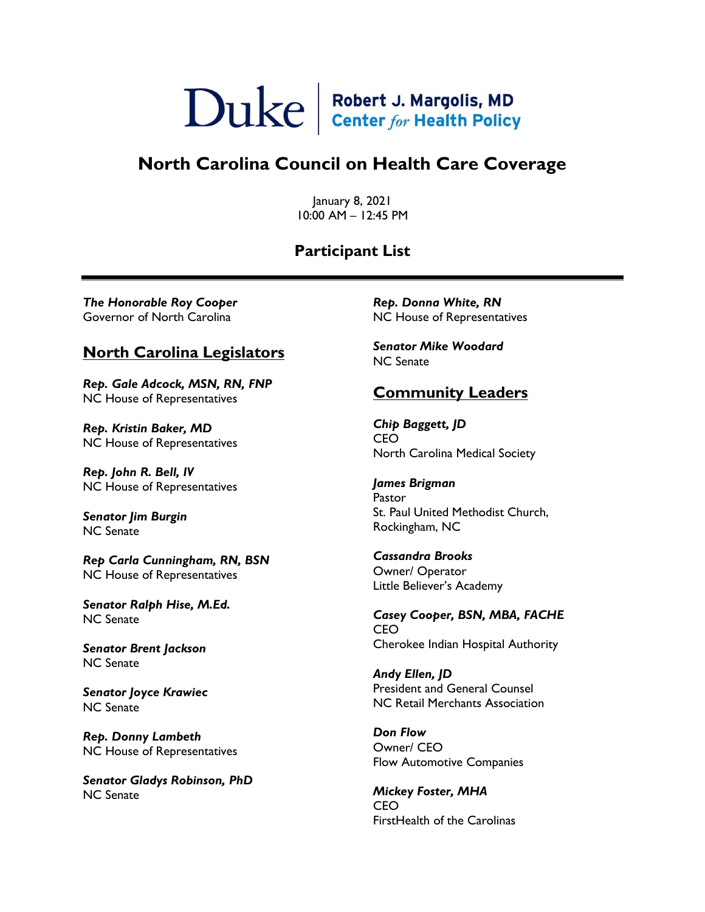# $\sum$ uke  $\left| \frac{\text{Robert J. Margolis, MD}}{\text{Center for Health Policy}} \right|$

## **North Carolina Council on Health Care Coverage**

January 8, 2021 10:00 AM – 12:45 PM

#### **Participant List**

*The Honorable Roy Cooper* Governor of North Carolina

#### **North Carolina Legislators**

*Rep. Gale Adcock, MSN, RN, FNP* NC House of Representatives

*Rep. Kristin Baker, MD* NC House of Representatives

*Rep. John R. Bell, IV* NC House of Representatives

*Senator Jim Burgin* NC Senate

*Rep Carla Cunningham, RN, BSN* NC House of Representatives

*Senator Ralph Hise, M.Ed.* NC Senate

*Senator Brent Jackson* NC Senate

*Senator Joyce Krawiec* NC Senate

*Rep. Donny Lambeth* NC House of Representatives

*Senator Gladys Robinson, PhD* NC Senate

*Rep. Donna White, RN* NC House of Representatives

*Senator Mike Woodard* NC Senate

#### **Community Leaders**

*Chip Baggett, JD* CEO North Carolina Medical Society

*James Brigman* Pastor St. Paul United Methodist Church, Rockingham, NC

*Cassandra Brooks* Owner/ Operator Little Believer's Academy

*Casey Cooper, BSN, MBA, FACHE* CEO Cherokee Indian Hospital Authority

*Andy Ellen, JD* President and General Counsel NC Retail Merchants Association

*Don Flow* Owner/ CEO Flow Automotive Companies

*Mickey Foster, MHA* CEO FirstHealth of the Carolinas